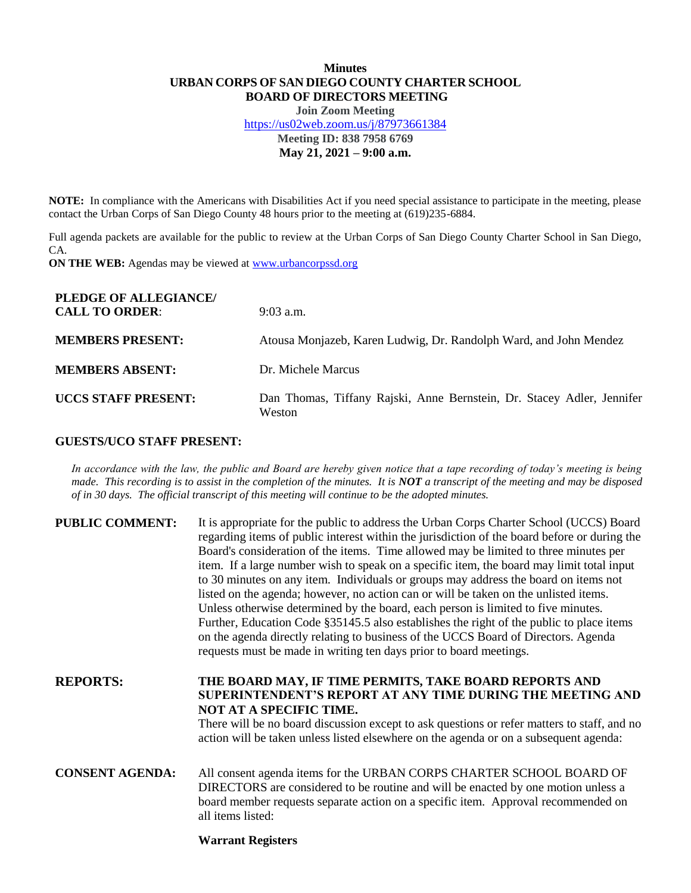# **Minutes URBAN CORPS OF SAN DIEGO COUNTY CHARTER SCHOOL BOARD OF DIRECTORS MEETING**

**Join Zoom Meeting** <https://us02web.zoom.us/j/87973661384> **Meeting ID: 838 7958 6769 May 21, 2021 – 9:00 a.m.**

**NOTE:** In compliance with the Americans with Disabilities Act if you need special assistance to participate in the meeting, please contact the Urban Corps of San Diego County 48 hours prior to the meeting at (619)235-6884.

Full agenda packets are available for the public to review at the Urban Corps of San Diego County Charter School in San Diego, CA.

**ON THE WEB:** Agendas may be viewed at **www.urbancorpssd.org** 

| PLEDGE OF ALLEGIANCE/<br><b>CALL TO ORDER:</b> | $9:03$ a.m.                                                                      |
|------------------------------------------------|----------------------------------------------------------------------------------|
| <b>MEMBERS PRESENT:</b>                        | Atousa Monjazeb, Karen Ludwig, Dr. Randolph Ward, and John Mendez                |
| <b>MEMBERS ABSENT:</b>                         | Dr. Michele Marcus                                                               |
| <b>UCCS STAFF PRESENT:</b>                     | Dan Thomas, Tiffany Rajski, Anne Bernstein, Dr. Stacey Adler, Jennifer<br>Weston |

## **GUESTS/UCO STAFF PRESENT:**

*In accordance with the law, the public and Board are hereby given notice that a tape recording of today's meeting is being made. This recording is to assist in the completion of the minutes. It is NOT a transcript of the meeting and may be disposed of in 30 days. The official transcript of this meeting will continue to be the adopted minutes.*

| <b>PUBLIC COMMENT:</b> | It is appropriate for the public to address the Urban Corps Charter School (UCCS) Board<br>regarding items of public interest within the jurisdiction of the board before or during the<br>Board's consideration of the items. Time allowed may be limited to three minutes per<br>item. If a large number wish to speak on a specific item, the board may limit total input<br>to 30 minutes on any item. Individuals or groups may address the board on items not<br>listed on the agenda; however, no action can or will be taken on the unlisted items.<br>Unless otherwise determined by the board, each person is limited to five minutes.<br>Further, Education Code §35145.5 also establishes the right of the public to place items<br>on the agenda directly relating to business of the UCCS Board of Directors. Agenda<br>requests must be made in writing ten days prior to board meetings. |
|------------------------|----------------------------------------------------------------------------------------------------------------------------------------------------------------------------------------------------------------------------------------------------------------------------------------------------------------------------------------------------------------------------------------------------------------------------------------------------------------------------------------------------------------------------------------------------------------------------------------------------------------------------------------------------------------------------------------------------------------------------------------------------------------------------------------------------------------------------------------------------------------------------------------------------------|
| <b>REPORTS:</b>        | THE BOARD MAY, IF TIME PERMITS, TAKE BOARD REPORTS AND<br>SUPERINTENDENT'S REPORT AT ANY TIME DURING THE MEETING AND<br>NOT AT A SPECIFIC TIME.<br>There will be no board discussion except to ask questions or refer matters to staff, and no<br>action will be taken unless listed elsewhere on the agenda or on a subsequent agenda:                                                                                                                                                                                                                                                                                                                                                                                                                                                                                                                                                                  |
| <b>CONSENT AGENDA:</b> | All consent agenda items for the URBAN CORPS CHARTER SCHOOL BOARD OF<br>DIRECTORS are considered to be routine and will be enacted by one motion unless a<br>board member requests separate action on a specific item. Approval recommended on<br>all items listed:                                                                                                                                                                                                                                                                                                                                                                                                                                                                                                                                                                                                                                      |

#### **Warrant Registers**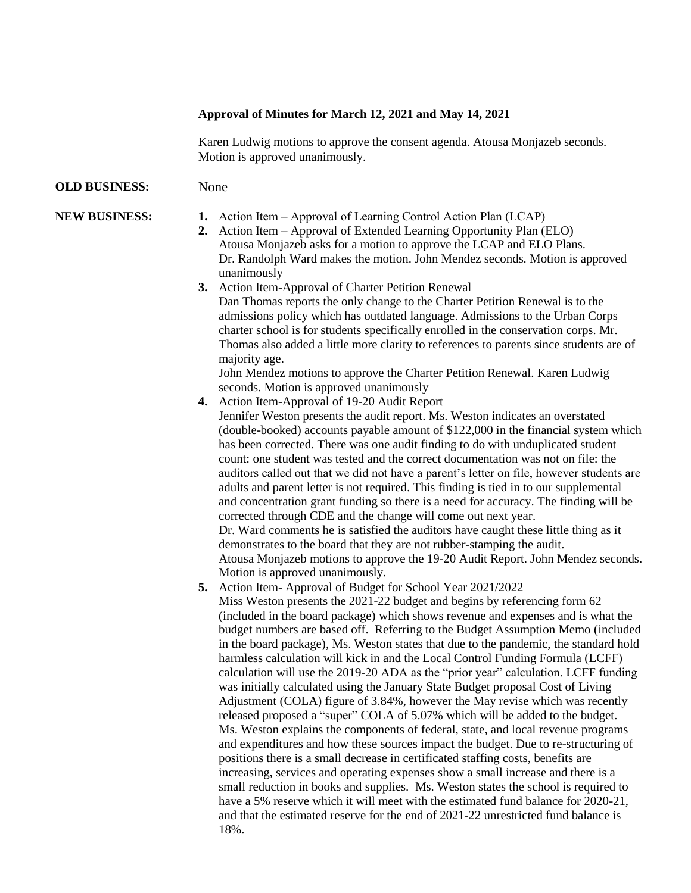## **Approval of Minutes for March 12, 2021 and May 14, 2021**

Karen Ludwig motions to approve the consent agenda. Atousa Monjazeb seconds. Motion is approved unanimously.

## **OLD BUSINESS:** None

- **NEW BUSINESS: 1.** Action Item Approval of Learning Control Action Plan (LCAP)
	- **2.** Action Item Approval of Extended Learning Opportunity Plan (ELO) Atousa Monjazeb asks for a motion to approve the LCAP and ELO Plans. Dr. Randolph Ward makes the motion. John Mendez seconds. Motion is approved unanimously
	- **3.** Action Item-Approval of Charter Petition Renewal

Dan Thomas reports the only change to the Charter Petition Renewal is to the admissions policy which has outdated language. Admissions to the Urban Corps charter school is for students specifically enrolled in the conservation corps. Mr. Thomas also added a little more clarity to references to parents since students are of majority age.

John Mendez motions to approve the Charter Petition Renewal. Karen Ludwig seconds. Motion is approved unanimously

- **4.** Action Item-Approval of 19-20 Audit Report Jennifer Weston presents the audit report. Ms. Weston indicates an overstated (double-booked) accounts payable amount of \$122,000 in the financial system which has been corrected. There was one audit finding to do with unduplicated student count: one student was tested and the correct documentation was not on file: the auditors called out that we did not have a parent's letter on file, however students are adults and parent letter is not required. This finding is tied in to our supplemental and concentration grant funding so there is a need for accuracy. The finding will be corrected through CDE and the change will come out next year. Dr. Ward comments he is satisfied the auditors have caught these little thing as it demonstrates to the board that they are not rubber-stamping the audit. Atousa Monjazeb motions to approve the 19-20 Audit Report. John Mendez seconds. Motion is approved unanimously.
- **5.** Action Item- Approval of Budget for School Year 2021/2022

Miss Weston presents the 2021-22 budget and begins by referencing form 62 (included in the board package) which shows revenue and expenses and is what the budget numbers are based off. Referring to the Budget Assumption Memo (included in the board package), Ms. Weston states that due to the pandemic, the standard hold harmless calculation will kick in and the Local Control Funding Formula (LCFF) calculation will use the 2019-20 ADA as the "prior year" calculation. LCFF funding was initially calculated using the January State Budget proposal Cost of Living Adjustment (COLA) figure of 3.84%, however the May revise which was recently released proposed a "super" COLA of 5.07% which will be added to the budget. Ms. Weston explains the components of federal, state, and local revenue programs and expenditures and how these sources impact the budget. Due to re-structuring of positions there is a small decrease in certificated staffing costs, benefits are increasing, services and operating expenses show a small increase and there is a small reduction in books and supplies. Ms. Weston states the school is required to have a 5% reserve which it will meet with the estimated fund balance for 2020-21, and that the estimated reserve for the end of 2021-22 unrestricted fund balance is 18%.